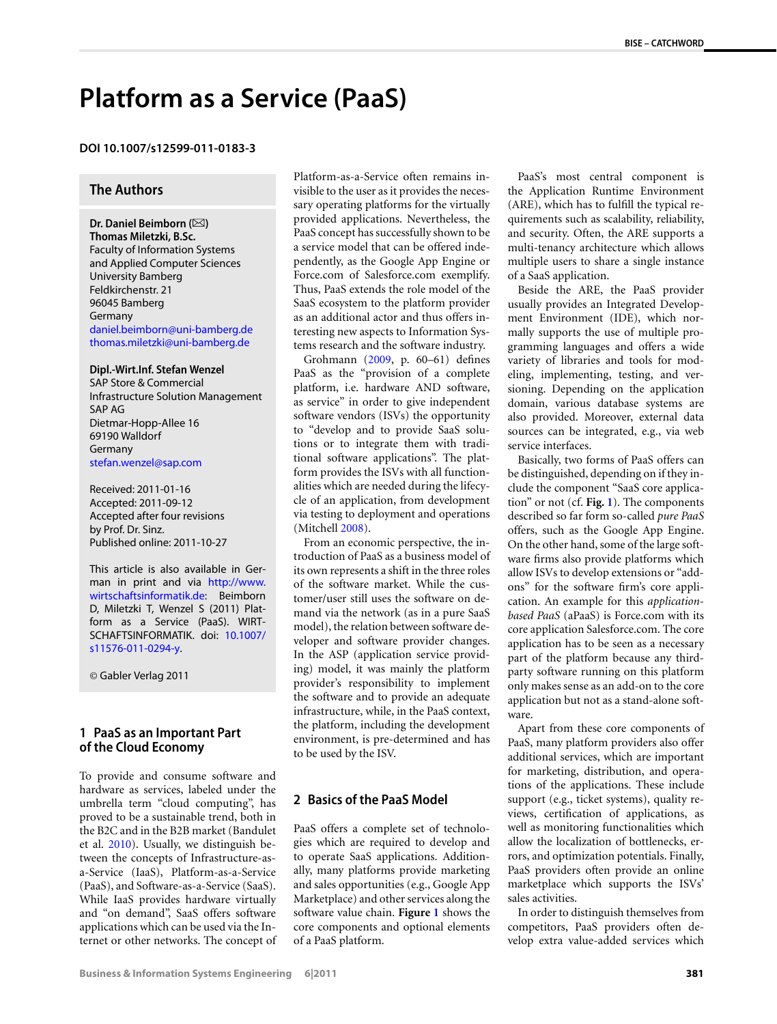# **Platform as a Service (PaaS)**

### **DOI 10.1007/s12599-011-0183-3**

## **The Authors**

Dr. Daniel Beimborn ( $\boxtimes$ ) **Thomas Miletzki, B.Sc.** Faculty of Information Systems and Applied Computer Sciences University Bamberg Feldkirchenstr. 21 96045 Bamberg Germany [daniel.beimborn@uni-bamberg.de](mailto:daniel.beimborn@uni-bamberg.de) [thomas.miletzki@uni-bamberg.de](mailto:thomas.miletzki@uni-bamberg.de)

#### **Dipl.-Wirt.Inf. Stefan Wenzel**

SAP Store & Commercial Infrastructure Solution Management SAP AG Dietmar-Hopp-Allee 16 69190 Walldorf Germany [stefan.wenzel@sap.com](mailto:stefan.wenzel@sap.com)

Received: 2011-01-16 Accepted: 2011-09-12 Accepted after four revisions by Prof. Dr. Sinz. Published online: 2011-10-27

This article is also available in German in print and via [http://www.](http://www.wirtschaftsinformatik.de) [wirtschaftsinformatik.de:](http://www.wirtschaftsinformatik.de) Beimborn D, Miletzki T, Wenzel S (2011) Platform as a Service (PaaS). WIRT-SCHAFTSINFORMATIK. doi: [10.1007/](http://dx.doi.org/10.1007/s11576-011-0294-y) [s11576-011-0294-y.](http://dx.doi.org/10.1007/s11576-011-0294-y)

© Gabler Verlag 2011

## **1 PaaS as an Important Part of the Cloud Economy**

To provide and consume software and hardware as services, labeled under the umbrella term "cloud computing", has proved to be a sustainable trend, both in the B2C and in the B2B market (Bandulet et al. [2010\)](#page-3-0). Usually, we distinguish between the concepts of Infrastructure-asa-Service (IaaS), Platform-as-a-Service (PaaS), and Software-as-a-Service (SaaS). While IaaS provides hardware virtually and "on demand", SaaS offers software applications which can be used via the Internet or other networks. The concept of Platform-as-a-Service often remains invisible to the user as it provides the necessary operating platforms for the virtually provided applications. Nevertheless, the PaaS concept has successfully shown to be a service model that can be offered independently, as the Google App Engine or Force.com of Salesforce.com exemplify. Thus, PaaS extends the role model of the SaaS ecosystem to the platform provider as an additional actor and thus offers interesting new aspects to Information Systems research and the software industry.

Grohmann ([2009,](#page-3-1) p. 60–61) defines PaaS as the "provision of a complete platform, i.e. hardware AND software, as service" in order to give independent software vendors (ISVs) the opportunity to "develop and to provide SaaS solutions or to integrate them with traditional software applications". The platform provides the ISVs with all functionalities which are needed during the lifecycle of an application, from development via testing to deployment and operations (Mitchell [2008](#page-3-2)).

From an economic perspective, the introduction of PaaS as a business model of its own represents a shift in the three roles of the software market. While the customer/user still uses the software on demand via the network (as in a pure SaaS model), the relation between software developer and software provider changes. In the ASP (application service providing) model, it was mainly the platform provider's responsibility to implement the software and to provide an adequate infrastructure, while, in the PaaS context, the platform, including the development environment, is pre-determined and has to be used by the ISV.

# **2 Basics of the PaaS Model**

PaaS offers a complete set of technologies which are required to develop and to operate SaaS applications. Additionally, many platforms provide marketing and sales opportunities (e.g., Google App Marketplace) and other services along the software value chain. **Figure [1](#page-1-0)** shows the core components and optional elements of a PaaS platform.

PaaS's most central component is the Application Runtime Environment (ARE), which has to fulfill the typical requirements such as scalability, reliability, and security. Often, the ARE supports a multi-tenancy architecture which allows multiple users to share a single instance of a SaaS application.

Beside the ARE, the PaaS provider usually provides an Integrated Development Environment (IDE), which normally supports the use of multiple programming languages and offers a wide variety of libraries and tools for modeling, implementing, testing, and versioning. Depending on the application domain, various database systems are also provided. Moreover, external data sources can be integrated, e.g., via web service interfaces.

Basically, two forms of PaaS offers can be distinguished, depending on if they include the component "SaaS core application" or not (cf. **Fig. [1](#page-1-0)**). The components described so far form so-called *pure PaaS* offers, such as the Google App Engine. On the other hand, some of the large software firms also provide platforms which allow ISVs to develop extensions or "addons" for the software firm's core application. An example for this *applicationbased PaaS* (aPaaS) is Force.com with its core application Salesforce.com. The core application has to be seen as a necessary part of the platform because any thirdparty software running on this platform only makes sense as an add-on to the core application but not as a stand-alone software.

Apart from these core components of PaaS, many platform providers also offer additional services, which are important for marketing, distribution, and operations of the applications. These include support (e.g., ticket systems), quality reviews, certification of applications, as well as monitoring functionalities which allow the localization of bottlenecks, errors, and optimization potentials. Finally, PaaS providers often provide an online marketplace which supports the ISVs' sales activities.

In order to distinguish themselves from competitors, PaaS providers often develop extra value-added services which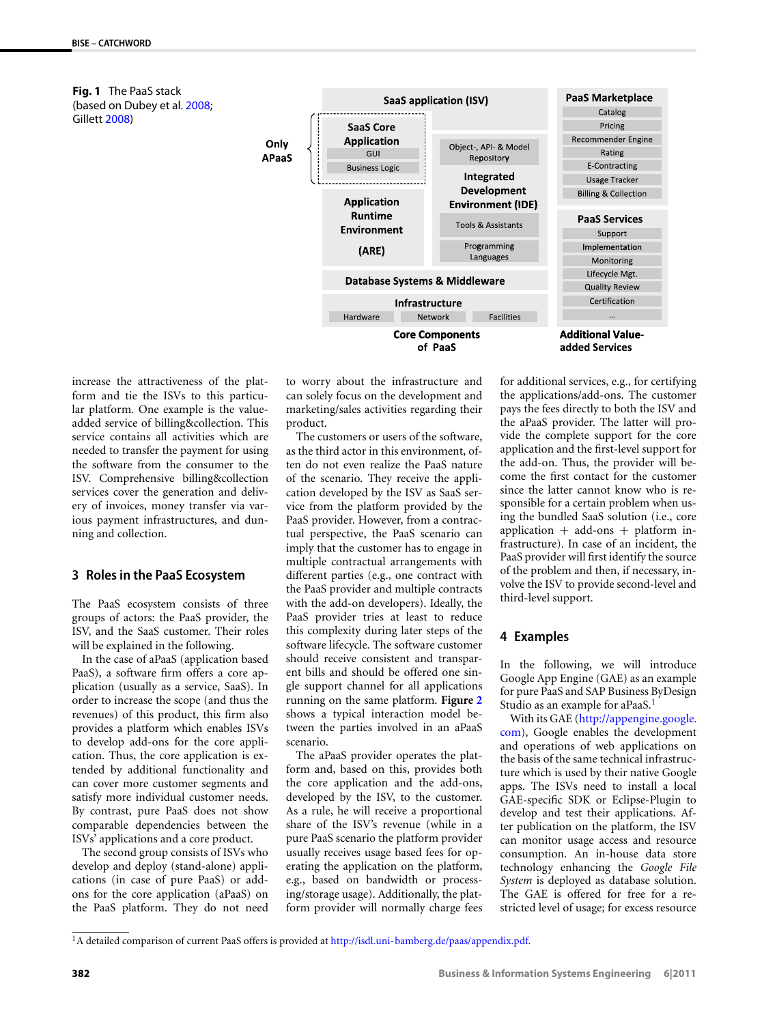<span id="page-1-0"></span>**Fig. 1** The PaaS stack (based on Dubey et al. [2008;](#page-3-3) Gillett [2008\)](#page-3-4)



increase the attractiveness of the platform and tie the ISVs to this particular platform. One example is the valueadded service of billing&collection. This service contains all activities which are needed to transfer the payment for using the software from the consumer to the ISV. Comprehensive billing&collection services cover the generation and delivery of invoices, money transfer via various payment infrastructures, and dunning and collection.

#### **3 Roles in the PaaS Ecosystem**

The PaaS ecosystem consists of three groups of actors: the PaaS provider, the ISV, and the SaaS customer. Their roles will be explained in the following.

In the case of aPaaS (application based PaaS), a software firm offers a core application (usually as a service, SaaS). In order to increase the scope (and thus the revenues) of this product, this firm also provides a platform which enables ISVs to develop add-ons for the core application. Thus, the core application is extended by additional functionality and can cover more customer segments and satisfy more individual customer needs. By contrast, pure PaaS does not show comparable dependencies between the ISVs' applications and a core product.

<span id="page-1-1"></span>The second group consists of ISVs who develop and deploy (stand-alone) applications (in case of pure PaaS) or addons for the core application (aPaaS) on the PaaS platform. They do not need

to worry about the infrastructure and can solely focus on the development and marketing/sales activities regarding their product.

The customers or users of the software, as the third actor in this environment, often do not even realize the PaaS nature of the scenario. They receive the application developed by the ISV as SaaS service from the platform provided by the PaaS provider. However, from a contractual perspective, the PaaS scenario can imply that the customer has to engage in multiple contractual arrangements with different parties (e.g., one contract with the PaaS provider and multiple contracts with the add-on developers). Ideally, the PaaS provider tries at least to reduce this complexity during later steps of the software lifecycle. The software customer should receive consistent and transparent bills and should be offered one single support channel for all applications running on the same platform. **Figure [2](#page-2-0)** shows a typical interaction model between the parties involved in an aPaaS scenario.

The aPaaS provider operates the platform and, based on this, provides both the core application and the add-ons, developed by the ISV, to the customer. As a rule, he will receive a proportional share of the ISV's revenue (while in a pure PaaS scenario the platform provider usually receives usage based fees for operating the application on the platform, e.g., based on bandwidth or processing/storage usage). Additionally, the platform provider will normally charge fees

for additional services, e.g., for certifying the applications/add-ons. The customer pays the fees directly to both the ISV and the aPaaS provider. The latter will provide the complete support for the core application and the first-level support for the add-on. Thus, the provider will become the first contact for the customer since the latter cannot know who is responsible for a certain problem when using the bundled SaaS solution (i.e., core application  $+$  add-ons  $+$  platform infrastructure). In case of an incident, the PaaS provider will first identify the source of the problem and then, if necessary, involve the ISV to provide second-level and third-level support.

## **4 Examples**

In the following, we will introduce Google App Engine (GAE) as an example for pure PaaS and SAP Business ByDesign Studio as an example for aPaaS.<sup>1</sup>

With its GAE [\(http://appengine.google.](http://appengine.google.com) [com](http://appengine.google.com)), Google enables the development and operations of web applications on the basis of the same technical infrastructure which is used by their native Google apps. The ISVs need to install a local GAE-specific SDK or Eclipse-Plugin to develop and test their applications. After publication on the platform, the ISV can monitor usage access and resource consumption. An in-house data store technology enhancing the *Google File System* is deployed as database solution. The GAE is offered for free for a restricted level of usage; for excess resource

<sup>1</sup>A detailed comparison of current PaaS offers is provided at <http://isdl.uni-bamberg.de/paas/appendix.pdf>.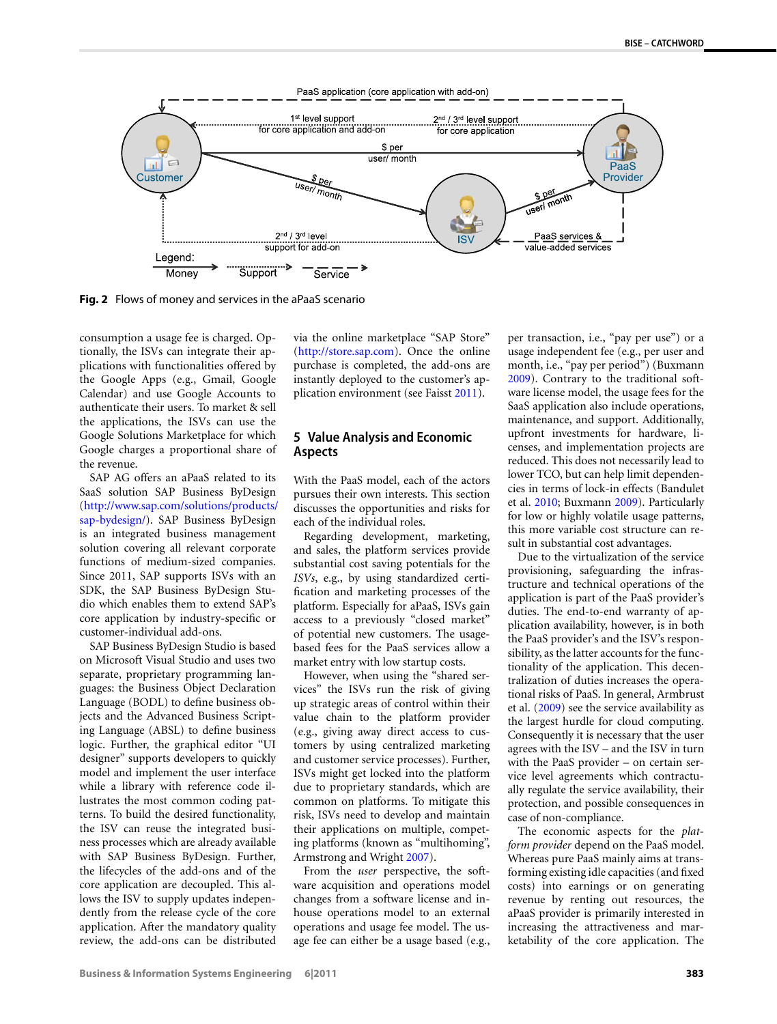

<span id="page-2-0"></span>**Fig. 2** Flows of money and services in the aPaaS scenario

consumption a usage fee is charged. Optionally, the ISVs can integrate their applications with functionalities offered by the Google Apps (e.g., Gmail, Google Calendar) and use Google Accounts to authenticate their users. To market & sell the applications, the ISVs can use the Google Solutions Marketplace for which Google charges a proportional share of the revenue.

SAP AG offers an aPaaS related to its SaaS solution SAP Business ByDesign [\(http://www.sap.com/solutions/products/](http://www.sap.com/solutions/products/sap-bydesign/) [sap-bydesign/](http://www.sap.com/solutions/products/sap-bydesign/)). SAP Business ByDesign is an integrated business management solution covering all relevant corporate functions of medium-sized companies. Since 2011, SAP supports ISVs with an SDK, the SAP Business ByDesign Studio which enables them to extend SAP's core application by industry-specific or customer-individual add-ons.

SAP Business ByDesign Studio is based on Microsoft Visual Studio and uses two separate, proprietary programming languages: the Business Object Declaration Language (BODL) to define business objects and the Advanced Business Scripting Language (ABSL) to define business logic. Further, the graphical editor "UI designer" supports developers to quickly model and implement the user interface while a library with reference code illustrates the most common coding patterns. To build the desired functionality, the ISV can reuse the integrated business processes which are already available with SAP Business ByDesign. Further, the lifecycles of the add-ons and of the core application are decoupled. This allows the ISV to supply updates independently from the release cycle of the core application. After the mandatory quality review, the add-ons can be distributed via the online marketplace "SAP Store" [\(http://store.sap.com](http://store.sap.com)). Once the online purchase is completed, the add-ons are instantly deployed to the customer's application environment (see Faisst [2011](#page-3-5)).

#### **5 Value Analysis and Economic Aspects**

With the PaaS model, each of the actors pursues their own interests. This section discusses the opportunities and risks for each of the individual roles.

Regarding development, marketing, and sales, the platform services provide substantial cost saving potentials for the *ISVs*, e.g., by using standardized certification and marketing processes of the platform. Especially for aPaaS, ISVs gain access to a previously "closed market" of potential new customers. The usagebased fees for the PaaS services allow a market entry with low startup costs.

However, when using the "shared services" the ISVs run the risk of giving up strategic areas of control within their value chain to the platform provider (e.g., giving away direct access to customers by using centralized marketing and customer service processes). Further, ISVs might get locked into the platform due to proprietary standards, which are common on platforms. To mitigate this risk, ISVs need to develop and maintain their applications on multiple, competing platforms (known as "multihoming", Armstrong and Wright [2007\)](#page-3-6).

From the *user* perspective, the software acquisition and operations model changes from a software license and inhouse operations model to an external operations and usage fee model. The usage fee can either be a usage based (e.g.,

per transaction, i.e., "pay per use") or a usage independent fee (e.g., per user and month, i.e., "pay per period") (Buxmann [2009](#page-3-7)). Contrary to the traditional software license model, the usage fees for the SaaS application also include operations, maintenance, and support. Additionally, upfront investments for hardware, licenses, and implementation projects are reduced. This does not necessarily lead to lower TCO, but can help limit dependencies in terms of lock-in effects (Bandulet et al. [2010](#page-3-0); Buxmann [2009\)](#page-3-7). Particularly for low or highly volatile usage patterns, this more variable cost structure can result in substantial cost advantages.

Due to the virtualization of the service provisioning, safeguarding the infrastructure and technical operations of the application is part of the PaaS provider's duties. The end-to-end warranty of application availability, however, is in both the PaaS provider's and the ISV's responsibility, as the latter accounts for the functionality of the application. This decentralization of duties increases the operational risks of PaaS. In general, Armbrust et al. ([2009](#page-3-8)) see the service availability as the largest hurdle for cloud computing. Consequently it is necessary that the user agrees with the ISV – and the ISV in turn with the PaaS provider – on certain service level agreements which contractually regulate the service availability, their protection, and possible consequences in case of non-compliance.

The economic aspects for the *platform provider* depend on the PaaS model. Whereas pure PaaS mainly aims at transforming existing idle capacities (and fixed costs) into earnings or on generating revenue by renting out resources, the aPaaS provider is primarily interested in increasing the attractiveness and marketability of the core application. The